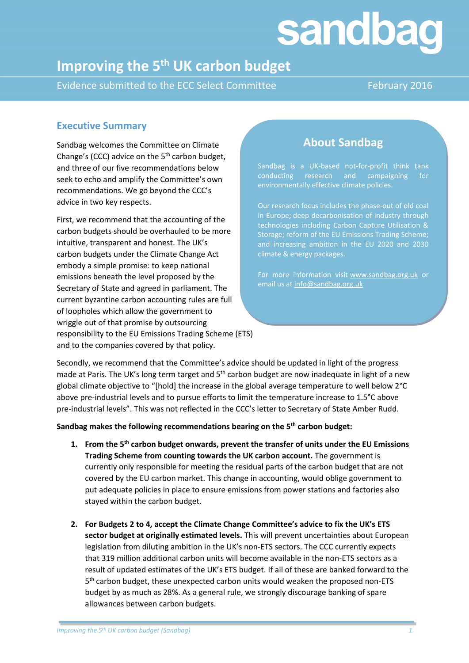# sandbag

# **Improving the 5th UK carbon budget**

Evidence submitted to the ECC Select Committee February 2016

## **Executive Summary**

Sandbag welcomes the Committee on Climate Change's (CCC) advice on the  $5<sup>th</sup>$  carbon budget, and three of our five recommendations below seek to echo and amplify the Committee's own recommendations. We go beyond the CCC's advice in two key respects.

First, we recommend that the accounting of the carbon budgets should be overhauled to be more intuitive, transparent and honest. The UK's carbon budgets under the Climate Change Act embody a simple promise: to keep national emissions beneath the level proposed by the Secretary of State and agreed in parliament. The current byzantine carbon accounting rules are full of loopholes which allow the government to wriggle out of that promise by outsourcing responsibility to the EU Emissions Trading Scheme (ETS) and to the companies covered by that policy.

# **About Sandbag**

Sandbag is a UK-based not-for-profit think tank conducting research and campaigning for environmentally effective climate policies.

Our research focus includes the phase-out of old coal in Europe; deep decarbonisation of industry through technologies including Carbon Capture Utilisation & Storage; reform of the EU Emissions Trading Scheme; and increasing ambition in the EU 2020 and 2030 climate & energy packages.

For more information visit [www.sandbag.org.uk](http://www.sandbag.org.uk/) or email us at [info@sandbag.org.uk](mailto:info@sandbag.org.uk)

Secondly, we recommend that the Committee's advice should be updated in light of the progress made at Paris. The UK's long term target and 5<sup>th</sup> carbon budget are now inadequate in light of a new global climate objective to "[hold] the increase in the global average temperature to well below 2°C above pre-industrial levels and to pursue efforts to limit the temperature increase to 1.5°C above pre-industrial levels". This was not reflected in the CCC's letter to Secretary of State Amber Rudd.

**Sandbag makes the following recommendations bearing on the 5th carbon budget:**

- **1. From the 5th carbon budget onwards, prevent the transfer of units under the EU Emissions Trading Scheme from counting towards the UK carbon account.** The government is currently only responsible for meeting the residual parts of the carbon budget that are not covered by the EU carbon market. This change in accounting, would oblige government to put adequate policies in place to ensure emissions from power stations and factories also stayed within the carbon budget.
- **2. For Budgets 2 to 4, accept the Climate Change Committee's advice to fix the UK's ETS sector budget at originally estimated levels.** This will prevent uncertainties about European legislation from diluting ambition in the UK's non-ETS sectors. The CCC currently expects that 319 million additional carbon units will become available in the non-ETS sectors as a result of updated estimates of the UK's ETS budget. If all of these are banked forward to the 5<sup>th</sup> carbon budget, these unexpected carbon units would weaken the proposed non-ETS budget by as much as 28%. As a general rule, we strongly discourage banking of spare allowances between carbon budgets.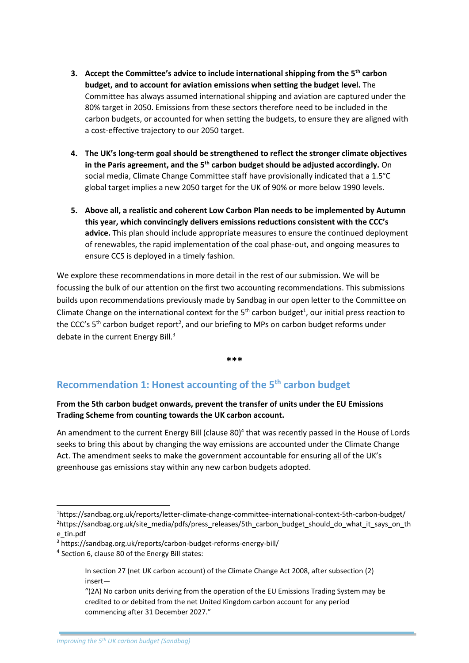- **3. Accept the Committee's advice to include international shipping from the 5th carbon budget, and to account for aviation emissions when setting the budget level.** The Committee has always assumed international shipping and aviation are captured under the 80% target in 2050. Emissions from these sectors therefore need to be included in the carbon budgets, or accounted for when setting the budgets, to ensure they are aligned with a cost-effective trajectory to our 2050 target.
- **4. The UK's long-term goal should be strengthened to reflect the stronger climate objectives in the Paris agreement, and the 5th carbon budget should be adjusted accordingly.** On social media, Climate Change Committee staff have provisionally indicated that a 1.5°C global target implies a new 2050 target for the UK of 90% or more below 1990 levels.
- **5. Above all, a realistic and coherent Low Carbon Plan needs to be implemented by Autumn this year, which convincingly delivers emissions reductions consistent with the CCC's advice.** This plan should include appropriate measures to ensure the continued deployment of renewables, the rapid implementation of the coal phase-out, and ongoing measures to ensure CCS is deployed in a timely fashion.

We explore these recommendations in more detail in the rest of our submission. We will be focussing the bulk of our attention on the first two accounting recommendations. This submissions builds upon recommendations previously made by Sandbag in our open letter to the Committee on Climate Change on the international context for the  $5<sup>th</sup>$  carbon budget<sup>1</sup>, our initial press reaction to the CCC's 5<sup>th</sup> carbon budget report<sup>2</sup>, and our briefing to MPs on carbon budget reforms under debate in the current Energy Bill.<sup>3</sup>

**\*\*\***

# **Recommendation 1: Honest accounting of the 5th carbon budget**

#### **From the 5th carbon budget onwards, prevent the transfer of units under the EU Emissions Trading Scheme from counting towards the UK carbon account.**

An amendment to the current Energy Bill (clause 80)<sup>4</sup> that was recently passed in the House of Lords seeks to bring this about by changing the way emissions are accounted under the Climate Change Act. The amendment seeks to make the government accountable for ensuring all of the UK's greenhouse gas emissions stay within any new carbon budgets adopted.

 $\overline{a}$ 

<sup>1</sup>https://sandbag.org.uk/reports/letter-climate-change-committee-international-context-5th-carbon-budget/ <sup>2</sup>https://sandbag.org.uk/site\_media/pdfs/press\_releases/5th\_carbon\_budget\_should\_do\_what\_it\_says\_on\_th e\_tin.pdf

<sup>3</sup> https://sandbag.org.uk/reports/carbon-budget-reforms-energy-bill/

<sup>&</sup>lt;sup>4</sup> Section 6, clause 80 of the Energy Bill states:

In section 27 (net UK carbon account) of the Climate Change Act 2008, after subsection (2) insert—

<sup>&</sup>quot;(2A) No carbon units deriving from the operation of the EU Emissions Trading System may be credited to or debited from the net United Kingdom carbon account for any period commencing after 31 December 2027."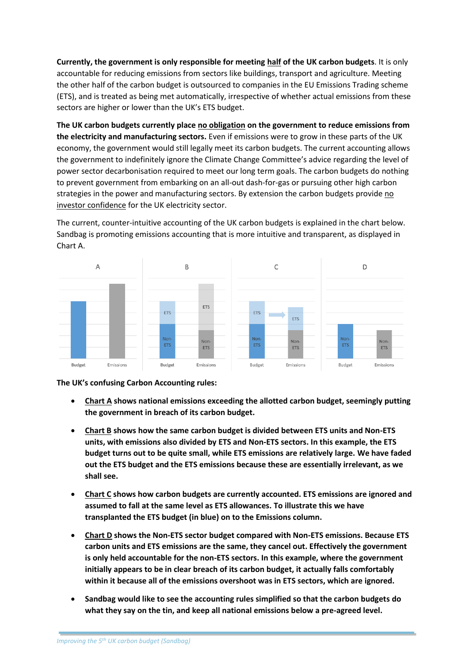**Currently, the government is only responsible for meeting half of the UK carbon budgets**. It is only accountable for reducing emissions from sectors like buildings, transport and agriculture. Meeting the other half of the carbon budget is outsourced to companies in the EU Emissions Trading scheme (ETS), and is treated as being met automatically, irrespective of whether actual emissions from these sectors are higher or lower than the UK's ETS budget.

**The UK carbon budgets currently place no obligation on the government to reduce emissions from the electricity and manufacturing sectors.** Even if emissions were to grow in these parts of the UK economy, the government would still legally meet its carbon budgets. The current accounting allows the government to indefinitely ignore the Climate Change Committee's advice regarding the level of power sector decarbonisation required to meet our long term goals. The carbon budgets do nothing to prevent government from embarking on an all-out dash-for-gas or pursuing other high carbon strategies in the power and manufacturing sectors. By extension the carbon budgets provide no investor confidence for the UK electricity sector.

The current, counter-intuitive accounting of the UK carbon budgets is explained in the chart below. Sandbag is promoting emissions accounting that is more intuitive and transparent, as displayed in Chart A.



**The UK's confusing Carbon Accounting rules:**

- **Chart A shows national emissions exceeding the allotted carbon budget, seemingly putting the government in breach of its carbon budget.**
- **Chart B shows how the same carbon budget is divided between ETS units and Non-ETS units, with emissions also divided by ETS and Non-ETS sectors. In this example, the ETS budget turns out to be quite small, while ETS emissions are relatively large. We have faded out the ETS budget and the ETS emissions because these are essentially irrelevant, as we shall see.**
- **Chart C shows how carbon budgets are currently accounted. ETS emissions are ignored and assumed to fall at the same level as ETS allowances. To illustrate this we have transplanted the ETS budget (in blue) on to the Emissions column.**
- **Chart D shows the Non-ETS sector budget compared with Non-ETS emissions. Because ETS carbon units and ETS emissions are the same, they cancel out. Effectively the government is only held accountable for the non-ETS sectors. In this example, where the government initially appears to be in clear breach of its carbon budget, it actually falls comfortably within it because all of the emissions overshoot was in ETS sectors, which are ignored.**
- **Sandbag would like to see the accounting rules simplified so that the carbon budgets do what they say on the tin, and keep all national emissions below a pre-agreed level.**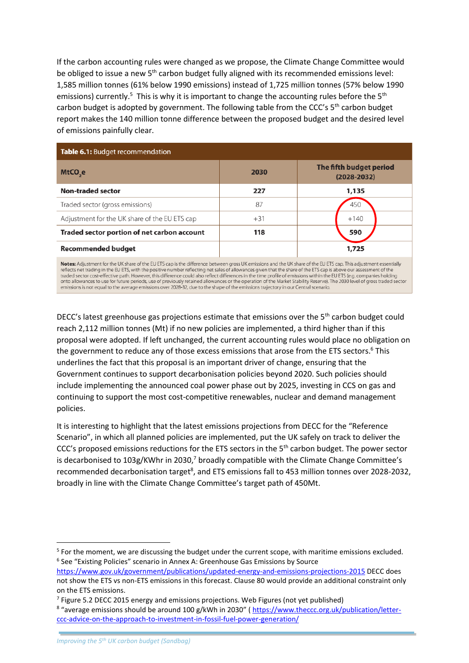If the carbon accounting rules were changed as we propose, the Climate Change Committee would be obliged to issue a new 5<sup>th</sup> carbon budget fully aligned with its recommended emissions level: 1,585 million tonnes (61% below 1990 emissions) instead of 1,725 million tonnes (57% below 1990 emissions) currently.<sup>5</sup> This is why it is important to change the accounting rules before the 5<sup>th</sup> carbon budget is adopted by government. The following table from the CCC's 5<sup>th</sup> carbon budget report makes the 140 million tonne difference between the proposed budget and the desired level of emissions painfully clear.

| Table 6.1: Budget recommendation                                                                                                                                                                                                                                                                                                        |       |                                            |  |  |
|-----------------------------------------------------------------------------------------------------------------------------------------------------------------------------------------------------------------------------------------------------------------------------------------------------------------------------------------|-------|--------------------------------------------|--|--|
| MtCO <sub>2</sub> e                                                                                                                                                                                                                                                                                                                     | 2030  | The fifth budget period<br>$(2028 - 2032)$ |  |  |
| <b>Non-traded sector</b>                                                                                                                                                                                                                                                                                                                | 227   | 1,135                                      |  |  |
| Traded sector (gross emissions)                                                                                                                                                                                                                                                                                                         | 87    | 450                                        |  |  |
| Adjustment for the UK share of the EU ETS cap                                                                                                                                                                                                                                                                                           | $+31$ | $+140$                                     |  |  |
| Traded sector portion of net carbon account                                                                                                                                                                                                                                                                                             | 118   | 590                                        |  |  |
| <b>Recommended budget</b>                                                                                                                                                                                                                                                                                                               |       | 1,725                                      |  |  |
| Notes: Adjustment for the UK share of the EU ETS cap is the difference between gross UK emissions and the UK share of the EU ETS cap. This adjustment essentially<br>reflects net trading in the EU ETS, with the positive number reflecting net sales of allowances given that the share of the ETS cap is above our assessment of the |       |                                            |  |  |

traded sector cost-effective path. However, this difference could also reflect differences in the time profile of emissions within the EU ETS (e.g. companies holding<br>onto allowances to use for future periods, use of previo emissions is not equal to the average emissions over 2028-32, due to the shape of the emissions trajectory in our Central scenario.

DECC's latest greenhouse gas projections estimate that emissions over the 5<sup>th</sup> carbon budget could reach 2,112 million tonnes (Mt) if no new policies are implemented, a third higher than if this proposal were adopted. If left unchanged, the current accounting rules would place no obligation on the government to reduce any of those excess emissions that arose from the ETS sectors. <sup>6</sup> This underlines the fact that this proposal is an important driver of change, ensuring that the Government continues to support decarbonisation policies beyond 2020. Such policies should include implementing the announced coal power phase out by 2025, investing in CCS on gas and continuing to support the most cost-competitive renewables, nuclear and demand management policies.

It is interesting to highlight that the latest emissions projections from DECC for the "Reference Scenario", in which all planned policies are implemented, put the UK safely on track to deliver the CCC's proposed emissions reductions for the ETS sectors in the 5<sup>th</sup> carbon budget. The power sector is decarbonised to  $103g/KWhr$  in 2030,<sup>7</sup> broadly compatible with the Climate Change Committee's recommended decarbonisation target<sup>8</sup>, and ETS emissions fall to 453 million tonnes over 2028-2032, broadly in line with the Climate Change Committee's target path of 450Mt.

1

<sup>&</sup>lt;sup>5</sup> For the moment, we are discussing the budget under the current scope, with maritime emissions excluded. <sup>6</sup> See "Existing Policies" scenario in Annex A: Greenhouse Gas Emissions by Source

<https://www.gov.uk/government/publications/updated-energy-and-emissions-projections-2015> DECC does not show the ETS vs non-ETS emissions in this forecast. Clause 80 would provide an additional constraint only on the ETS emissions.

<sup>&</sup>lt;sup>7</sup> Figure 5.2 DECC 2015 energy and emissions projections. Web Figures (not yet published)

<sup>&</sup>lt;sup>8</sup> "average emissions should be around 100 g/kWh in 2030" [\( https://www.theccc.org.uk/publication/letter](https://www.theccc.org.uk/publication/letter-ccc-advice-on-the-approach-to-investment-in-fossil-fuel-power-generation/)[ccc-advice-on-the-approach-to-investment-in-fossil-fuel-power-generation/](https://www.theccc.org.uk/publication/letter-ccc-advice-on-the-approach-to-investment-in-fossil-fuel-power-generation/)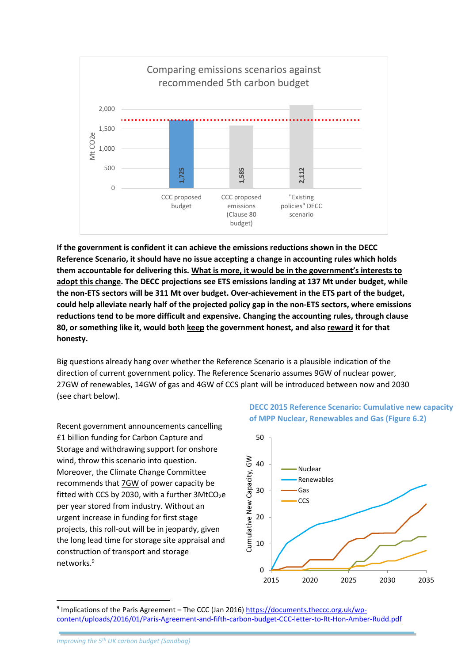

**If the government is confident it can achieve the emissions reductions shown in the DECC Reference Scenario, it should have no issue accepting a change in accounting rules which holds them accountable for delivering this. What is more, it would be in the government's interests to adopt this change. The DECC projections see ETS emissions landing at 137 Mt under budget, while the non-ETS sectors will be 311 Mt over budget. Over-achievement in the ETS part of the budget, could help alleviate nearly half of the projected policy gap in the non-ETS sectors, where emissions reductions tend to be more difficult and expensive. Changing the accounting rules, through clause 80, or something like it, would both keep the government honest, and also reward it for that honesty. c** content and the proposed and the proposed and content that a content of the proposed and content is content to content the experiment of the proposed and the proposed and the proposed between the proposed between the p

Big questions already hang over whether the Reference Scenario is a plausible indication of the direction of current government policy. The Reference Scenario assumes 9GW of nuclear power, 27GW of renewables, 14GW of gas and 4GW of CCS plant will be introduced between now and 2030 (see chart below).

Recent government announcements cancelling £1 billion funding for Carbon Capture and Storage and withdrawing support for onshore wind, throw this scenario into question. Moreover, the Climate Change Committee recommends that 7GW of power capacity be fitted with CCS by 2030, with a further  $3$ MtCO<sub>2</sub>e per year stored from industry. Without an urgent increase in funding for first stage projects, this roll-out will be in jeopardy, given the long lead time for storage site appraisal and construction of transport and storage networks.<sup>9</sup>

#### **DECC 2015 Reference Scenario: Cumulative new capacity of MPP Nuclear, Renewables and Gas (Figure 6.2)**



<sup>9</sup> Implications of the Paris Agreement – The CCC (Jan 2016) [https://documents.theccc.org.uk/wp-](https://documents.theccc.org.uk/wp-content/uploads/2016/01/Paris-Agreement-and-fifth-carbon-budget-CCC-letter-to-Rt-Hon-Amber-Rudd.pdf)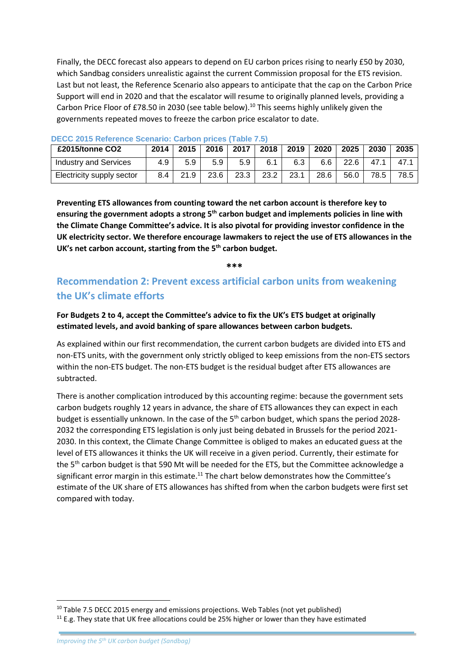Finally, the DECC forecast also appears to depend on EU carbon prices rising to nearly £50 by 2030, which Sandbag considers unrealistic against the current Commission proposal for the ETS revision. Last but not least, the Reference Scenario also appears to anticipate that the cap on the Carbon Price Support will end in 2020 and that the escalator will resume to originally planned levels, providing a Carbon Price Floor of £78.50 in 2030 (see table below).<sup>10</sup> This seems highly unlikely given the governments repeated moves to freeze the carbon price escalator to date.

| £2015/tonne CO2              | 2014 | 2015 | 2016 | 2017 | 2018 | 2019 | 2020 | 2025 | 2030 | 2035 |
|------------------------------|------|------|------|------|------|------|------|------|------|------|
| <b>Industry and Services</b> | 4.9  | 5.9  | 5.9  | 5.9  | 6.1  | 6.3  | 6.6  | 22.6 | 47.1 | 47.1 |
| Electricity supply sector    | 8.4  | 21.9 | 23.6 | 23.3 | 23.2 | 23.1 | 28.6 | 56.0 | 78.5 | 78.5 |

#### **DECC 2015 Reference Scenario: Carbon prices (Table 7.5)**

**Preventing ETS allowances from counting toward the net carbon account is therefore key to ensuring the government adopts a strong 5th carbon budget and implements policies in line with the Climate Change Committee's advice. It is also pivotal for providing investor confidence in the UK electricity sector. We therefore encourage lawmakers to reject the use of ETS allowances in the UK's net carbon account, starting from the 5th carbon budget.**

**\*\*\***

# **Recommendation 2: Prevent excess artificial carbon units from weakening the UK's climate efforts**

#### **For Budgets 2 to 4, accept the Committee's advice to fix the UK's ETS budget at originally estimated levels, and avoid banking of spare allowances between carbon budgets.**

As explained within our first recommendation, the current carbon budgets are divided into ETS and non-ETS units, with the government only strictly obliged to keep emissions from the non-ETS sectors within the non-ETS budget. The non-ETS budget is the residual budget after ETS allowances are subtracted.

There is another complication introduced by this accounting regime: because the government sets carbon budgets roughly 12 years in advance, the share of ETS allowances they can expect in each budget is essentially unknown. In the case of the 5<sup>th</sup> carbon budget, which spans the period 2028-2032 the corresponding ETS legislation is only just being debated in Brussels for the period 2021- 2030. In this context, the Climate Change Committee is obliged to makes an educated guess at the level of ETS allowances it thinks the UK will receive in a given period. Currently, their estimate for the 5<sup>th</sup> carbon budget is that 590 Mt will be needed for the ETS, but the Committee acknowledge a significant error margin in this estimate.<sup>11</sup> The chart below demonstrates how the Committee's estimate of the UK share of ETS allowances has shifted from when the carbon budgets were first set compared with today.

<sup>&</sup>lt;sup>10</sup> Table 7.5 DECC 2015 energy and emissions projections. Web Tables (not yet published)

<sup>&</sup>lt;sup>11</sup> E.g. They state that UK free allocations could be 25% higher or lower than they have estimated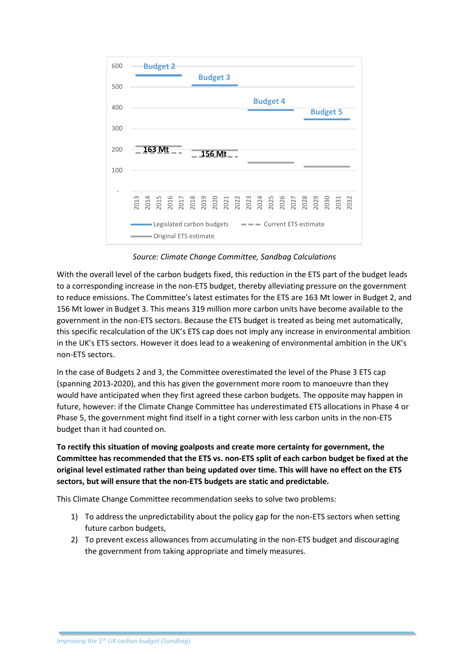

*Source: Climate Change Committee, Sandbag Calculations*

With the overall level of the carbon budgets fixed, this reduction in the ETS part of the budget leads to a corresponding increase in the non-ETS budget, thereby alleviating pressure on the government to reduce emissions. The Committee's latest estimates for the ETS are 163 Mt lower in Budget 2, and 156 Mt lower in Budget 3. This means 319 million more carbon units have become available to the government in the non-ETS sectors. Because the ETS budget is treated as being met automatically, this specific recalculation of the UK's ETS cap does not imply any increase in environmental ambition in the UK's ETS sectors. However it does lead to a weakening of environmental ambition in the UK's non-ETS sectors.

In the case of Budgets 2 and 3, the Committee overestimated the level of the Phase 3 ETS cap (spanning 2013-2020), and this has given the government more room to manoeuvre than they would have anticipated when they first agreed these carbon budgets. The opposite may happen in future, however: if the Climate Change Committee has underestimated ETS allocations in Phase 4 or Phase 5, the government might find itself in a tight corner with less carbon units in the non-ETS budget than it had counted on.

**To rectify this situation of moving goalposts and create more certainty for government, the Committee has recommended that the ETS vs. non-ETS split of each carbon budget be fixed at the original level estimated rather than being updated over time. This will have no effect on the ETS sectors, but will ensure that the non-ETS budgets are static and predictable.**

This Climate Change Committee recommendation seeks to solve two problems:

- 1) To address the unpredictability about the policy gap for the non-ETS sectors when setting future carbon budgets,
- 2) To prevent excess allowances from accumulating in the non-ETS budget and discouraging the government from taking appropriate and timely measures.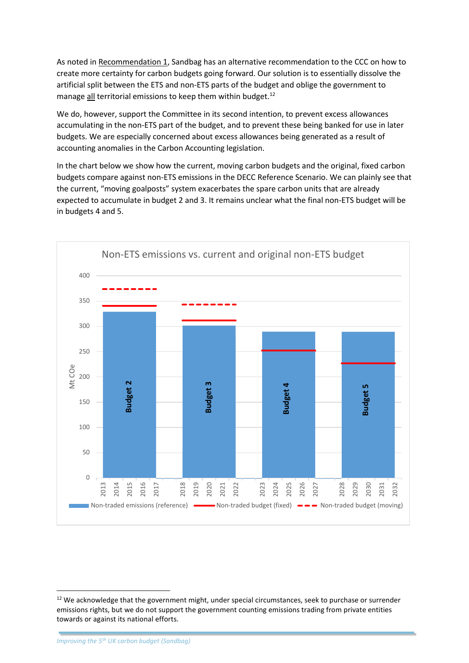As noted in Recommendation 1, Sandbag has an alternative recommendation to the CCC on how to create more certainty for carbon budgets going forward. Our solution is to essentially dissolve the artificial split between the ETS and non-ETS parts of the budget and oblige the government to manage all territorial emissions to keep them within budget.<sup>12</sup>

We do, however, support the Committee in its second intention, to prevent excess allowances accumulating in the non-ETS part of the budget, and to prevent these being banked for use in later budgets. We are especially concerned about excess allowances being generated as a result of accounting anomalies in the Carbon Accounting legislation.

In the chart below we show how the current, moving carbon budgets and the original, fixed carbon budgets compare against non-ETS emissions in the DECC Reference Scenario. We can plainly see that the current, "moving goalposts" system exacerbates the spare carbon units that are already expected to accumulate in budget 2 and 3. It remains unclear what the final non-ETS budget will be in budgets 4 and 5.



1

<sup>&</sup>lt;sup>12</sup> We acknowledge that the government might, under special circumstances, seek to purchase or surrender emissions rights, but we do not support the government counting emissions trading from private entities towards or against its national efforts.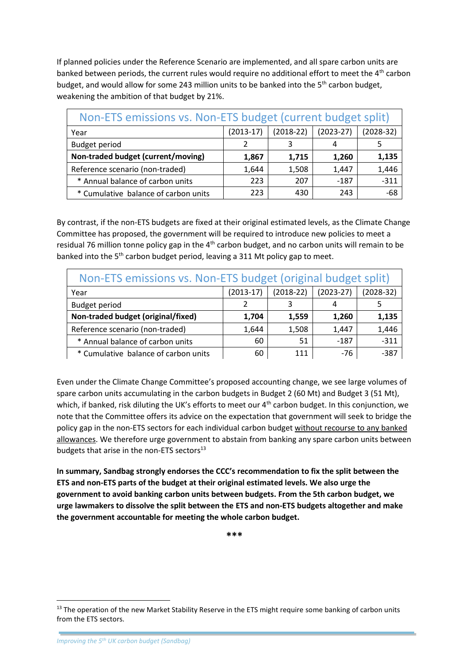If planned policies under the Reference Scenario are implemented, and all spare carbon units are banked between periods, the current rules would require no additional effort to meet the 4<sup>th</sup> carbon budget, and would allow for some 243 million units to be banked into the  $5<sup>th</sup>$  carbon budget, weakening the ambition of that budget by 21%.

| Non-ETS emissions vs. Non-ETS budget (current budget split) |             |             |             |             |  |  |
|-------------------------------------------------------------|-------------|-------------|-------------|-------------|--|--|
| Year                                                        | $(2013-17)$ | $(2018-22)$ | $(2023-27)$ | $(2028-32)$ |  |  |
| <b>Budget period</b>                                        |             | 3           | 4           |             |  |  |
| Non-traded budget (current/moving)                          | 1,867       | 1,715       | 1,260       | 1,135       |  |  |
| Reference scenario (non-traded)                             | 1,644       | 1,508       | 1,447       | 1,446       |  |  |
| * Annual balance of carbon units                            | 223         | 207         | $-187$      | $-311$      |  |  |
| * Cumulative balance of carbon units                        | 223         | 430         | 243         | -68         |  |  |

By contrast, if the non-ETS budgets are fixed at their original estimated levels, as the Climate Change Committee has proposed, the government will be required to introduce new policies to meet a residual 76 million tonne policy gap in the 4<sup>th</sup> carbon budget, and no carbon units will remain to be banked into the 5<sup>th</sup> carbon budget period, leaving a 311 Mt policy gap to meet.

| Non-ETS emissions vs. Non-ETS budget (original budget split) |             |             |             |             |  |  |
|--------------------------------------------------------------|-------------|-------------|-------------|-------------|--|--|
| Year                                                         | $(2013-17)$ | $(2018-22)$ | $(2023-27)$ | $(2028-32)$ |  |  |
| <b>Budget period</b>                                         |             |             | 4           |             |  |  |
| Non-traded budget (original/fixed)                           | 1,704       | 1,559       | 1,260       | 1,135       |  |  |
| Reference scenario (non-traded)                              | 1,644       | 1,508       | 1,447       | 1,446       |  |  |
| * Annual balance of carbon units                             | 60          | 51          | $-187$      | $-311$      |  |  |
| * Cumulative balance of carbon units                         | 60          | 111         | $-76$       | $-387$      |  |  |

Even under the Climate Change Committee's proposed accounting change, we see large volumes of spare carbon units accumulating in the carbon budgets in Budget 2 (60 Mt) and Budget 3 (51 Mt), which, if banked, risk diluting the UK's efforts to meet our 4<sup>th</sup> carbon budget. In this conjunction, we note that the Committee offers its advice on the expectation that government will seek to bridge the policy gap in the non-ETS sectors for each individual carbon budget without recourse to any banked allowances. We therefore urge government to abstain from banking any spare carbon units between budgets that arise in the non-ETS sectors<sup>13</sup>

**In summary, Sandbag strongly endorses the CCC's recommendation to fix the split between the ETS and non-ETS parts of the budget at their original estimated levels. We also urge the government to avoid banking carbon units between budgets. From the 5th carbon budget, we urge lawmakers to dissolve the split between the ETS and non-ETS budgets altogether and make the government accountable for meeting the whole carbon budget.**

**\*\*\***

<sup>&</sup>lt;sup>13</sup> The operation of the new Market Stability Reserve in the ETS might require some banking of carbon units from the ETS sectors.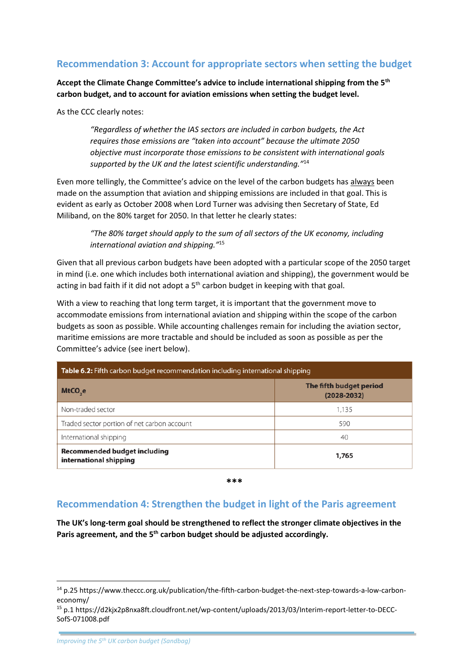## **Recommendation 3: Account for appropriate sectors when setting the budget**

**Accept the Climate Change Committee's advice to include international shipping from the 5th carbon budget, and to account for aviation emissions when setting the budget level.**

As the CCC clearly notes:

*"Regardless of whether the IAS sectors are included in carbon budgets, the Act requires those emissions are "taken into account" because the ultimate 2050 objective must incorporate those emissions to be consistent with international goals supported by the UK and the latest scientific understanding."*<sup>14</sup>

Even more tellingly, the Committee's advice on the level of the carbon budgets has always been made on the assumption that aviation and shipping emissions are included in that goal. This is evident as early as October 2008 when Lord Turner was advising then Secretary of State, Ed Miliband, on the 80% target for 2050. In that letter he clearly states:

> *"The 80% target should apply to the sum of all sectors of the UK economy, including international aviation and shipping."* 15

Given that all previous carbon budgets have been adopted with a particular scope of the 2050 target in mind (i.e. one which includes both international aviation and shipping), the government would be acting in bad faith if it did not adopt a  $5<sup>th</sup>$  carbon budget in keeping with that goal.

With a view to reaching that long term target, it is important that the government move to accommodate emissions from international aviation and shipping within the scope of the carbon budgets as soon as possible. While accounting challenges remain for including the aviation sector, maritime emissions are more tractable and should be included as soon as possible as per the Committee's advice (see inert below).

| <b>Table 6.2:</b> Fifth carbon budget recommendation including international shipping |                                            |  |  |
|---------------------------------------------------------------------------------------|--------------------------------------------|--|--|
| MtCO <sub>se</sub>                                                                    | The fifth budget period<br>$(2028 - 2032)$ |  |  |
| Non-traded sector                                                                     | 1,135                                      |  |  |
| Traded sector portion of net carbon account                                           | 590                                        |  |  |
| International shipping                                                                | 40                                         |  |  |
| <b>Recommended budget including</b><br>international shipping                         | 1,765                                      |  |  |

**\*\*\***

### **Recommendation 4: Strengthen the budget in light of the Paris agreement**

**The UK's long-term goal should be strengthened to reflect the stronger climate objectives in the Paris agreement, and the 5th carbon budget should be adjusted accordingly.** 

<sup>14</sup> p.25 https://www.theccc.org.uk/publication/the-fifth-carbon-budget-the-next-step-towards-a-low-carboneconomy/

<sup>15</sup> p.1 https://d2kjx2p8nxa8ft.cloudfront.net/wp-content/uploads/2013/03/Interim-report-letter-to-DECC-SofS-071008.pdf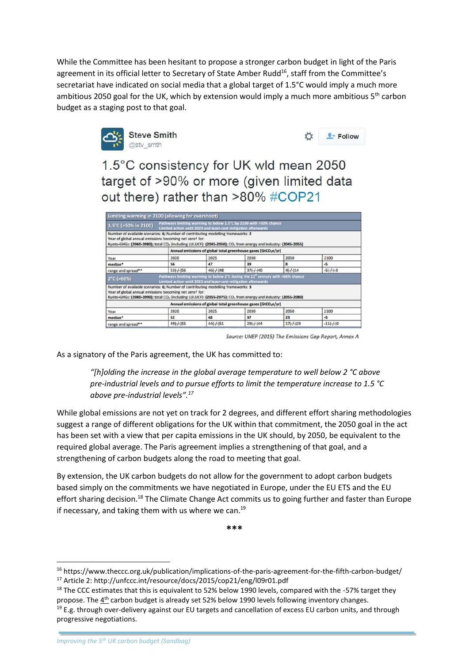While the Committee has been hesitant to propose a stronger carbon budget in light of the Paris agreement in its official letter to Secretary of State Amber Rudd<sup>16</sup>, staff from the Committee's secretariat have indicated on social media that a global target of 1.5°C would imply a much more ambitious 2050 goal for the UK, which by extension would imply a much more ambitious  $5<sup>th</sup>$  carbon budget as a staging post to that goal.



| $+$ Follow |
|------------|
|            |

1.5°C consistency for UK wld mean 2050 target of >90% or more (given limited data out there) rather than >80% #COP21

| Limiting warming in 2100 (allowing for overshoot)                                                                                                                                                                                                                                    |                                                                            |                                                                |                                                                                            |             |             |  |  |
|--------------------------------------------------------------------------------------------------------------------------------------------------------------------------------------------------------------------------------------------------------------------------------------|----------------------------------------------------------------------------|----------------------------------------------------------------|--------------------------------------------------------------------------------------------|-------------|-------------|--|--|
| 1.5°C (>50% in 2100)                                                                                                                                                                                                                                                                 | Limited action until 2020 and least-cost mitigation afterwards             |                                                                | Pathways limiting warming to below 1.5°C by 2100 with >50% chance                          |             |             |  |  |
| Number of available scenarios: 6; Number of contributing modelling frameworks: 2<br>Year of global annual emissions becoming net zerot for:<br>Kyoto-GHGs: (2060-2080); total CO <sub>2</sub> (including LULUCF): (2045-2050); CO <sub>2</sub> from energy and industry: (2045-2055) |                                                                            |                                                                |                                                                                            |             |             |  |  |
|                                                                                                                                                                                                                                                                                      | Annual emissions of global total greenhouse gases [GtCO <sub>2</sub> e/yr] |                                                                |                                                                                            |             |             |  |  |
| Year                                                                                                                                                                                                                                                                                 | 2020                                                                       | 2025                                                           | 2030                                                                                       | 2050        | 2100        |  |  |
| median*                                                                                                                                                                                                                                                                              | 56                                                                         | 47                                                             | 39                                                                                         | 8           | $-5$        |  |  |
| range and spread**                                                                                                                                                                                                                                                                   | $53(-/-)56$                                                                | $46(-/-)48$                                                    | $37(-/-)40$                                                                                | $4(-/-)14$  | $-5(-/-)-3$ |  |  |
| $2^{\circ}$ C (>66%)                                                                                                                                                                                                                                                                 |                                                                            | Limited action until 2020 and least-cost mitigation afterwards | Pathways limiting warming to below 2°C during the 21 <sup>"</sup> century with >66% chance |             |             |  |  |
| Number of available scenarios: 6; Number of contributing modelling frameworks: 3<br>Year of global annual emissions becoming net zerot for:<br>Kyoto-GHGs: (2080-2090); total CO <sub>2</sub> (including LULUCF): (2055-2075); CO <sub>2</sub> from energy and industry: (2055-2080) |                                                                            |                                                                |                                                                                            |             |             |  |  |
|                                                                                                                                                                                                                                                                                      |                                                                            |                                                                | Annual emissions of global total greenhouse gases [GtCO <sub>2</sub> e/yr]                 |             |             |  |  |
| Year                                                                                                                                                                                                                                                                                 | 2020                                                                       | 2025                                                           | 2030                                                                                       | 2050        | 2100        |  |  |
| median*                                                                                                                                                                                                                                                                              | 52                                                                         | 48                                                             | 37                                                                                         | 23          | -5          |  |  |
| range and spread**                                                                                                                                                                                                                                                                   | $49(-/-)55$                                                                | $44(-/-)51$                                                    | $29(-/-)44$                                                                                | $17(-/-)29$ | $-11(-/-)0$ |  |  |

Source: UNEP (2015) The Emissions Gap Report, Annex A

As a signatory of the Paris agreement, the UK has committed to:

*"[h]olding the increase in the global average temperature to well below 2 °C above pre-industrial levels and to pursue efforts to limit the temperature increase to 1.5 °C above pre-industrial levels". 17*

While global emissions are not yet on track for 2 degrees, and different effort sharing methodologies suggest a range of different obligations for the UK within that commitment, the 2050 goal in the act has been set with a view that per capita emissions in the UK should, by 2050, be equivalent to the required global average. The Paris agreement implies a strengthening of that goal, and a strengthening of carbon budgets along the road to meeting that goal.

By extension, the UK carbon budgets do not allow for the government to adopt carbon budgets based simply on the commitments we have negotiated in Europe, under the EU ETS and the EU effort sharing decision.<sup>18</sup> The Climate Change Act commits us to going further and faster than Europe if necessary, and taking them with us where we can. $19$ 

**\*\*\***

<sup>16</sup> https://www.theccc.org.uk/publication/implications-of-the-paris-agreement-for-the-fifth-carbon-budget/ <sup>17</sup> Article 2: http://unfccc.int/resource/docs/2015/cop21/eng/l09r01.pdf

 $18$  The CCC estimates that this is equivalent to 52% below 1990 levels, compared with the -57% target they propose. The 4<sup>th</sup> carbon budget is already set 52% below 1990 levels following inventory changes.

 $19$  E.g. through over-delivery against our EU targets and cancellation of excess EU carbon units, and through progressive negotiations.